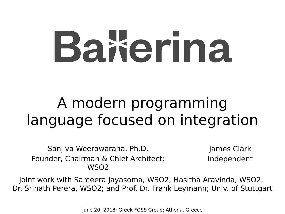# Bakerina

#### A modern programming language focused on integration

Sanjiva Weerawarana, Ph.D. Founder, Chairman & Chief Architect; WSO2

James Clark Independent

Joint work with Sameera Jayasoma, WSO2; Hasitha Aravinda, WSO2; Dr. Srinath Perera, WSO2; and Prof. Dr. Frank Leymann; Univ. of Stuttgart

June 20, 2018; Greek FOSS Group; Athena, Greece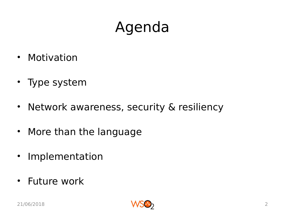## Agenda

- Motivation
- Type system
- Network awareness, security & resiliency
- More than the language
- Implementation
- Future work

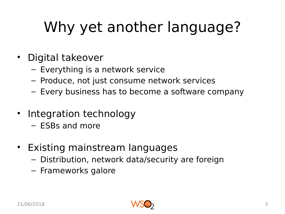# Why yet another language?

- Digital takeover
	- Everything is a network service
	- Produce, not just consume network services
	- Every business has to become a software company
- Integration technology
	- ESBs and more
- Existing mainstream languages
	- Distribution, network data/security are foreign
	- Frameworks galore

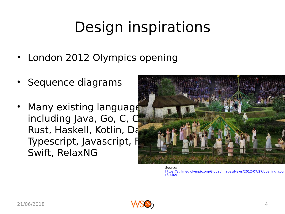## Design inspirations

- London 2012 Olympics opening
- Sequence diagrams
- Many existing language including Java, Go, C, C Rust, Haskell, Kotlin, Da Typescript, Javascript, F Swift, RelaxNG



Source: [https://stillmed.olympic.org/Global/Images/News/2012-07/27/opening\\_cou](https://stillmed.olympic.org/Global/Images/News/2012-07/27/opening_country.jpg) [ntry.jpg](https://stillmed.olympic.org/Global/Images/News/2012-07/27/opening_country.jpg)

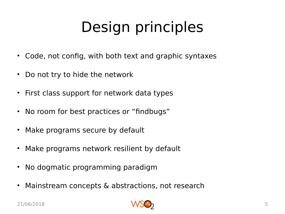# Design principles

- Code, not config, with both text and graphic syntaxes
- Do not try to hide the network
- First class support for network data types
- No room for best practices or "findbugs"
- Make programs secure by default
- Make programs network resilient by default
- No dogmatic programming paradigm
- Mainstream concepts & abstractions, not research

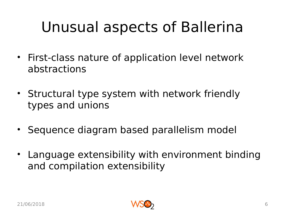## Unusual aspects of Ballerina

- First-class nature of application level network abstractions
- Structural type system with network friendly types and unions
- Sequence diagram based parallelism model
- Language extensibility with environment binding and compilation extensibility

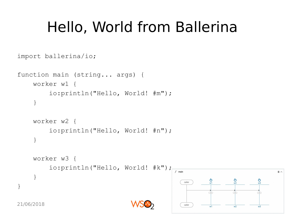#### Hello, World from Ballerina

```
import ballerina/io;
```

```
function main (string... args) {
     worker w1 {
          io:println("Hello, World! #m");
      }
     worker w2 {
          io:println("Hello, World! #n");
      }
     worker w3 {
          io:println("Hello, World! #k");
                                              f main
      }
                                                 caller
}
```


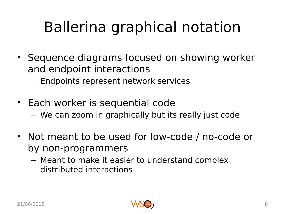# Ballerina graphical notation

- Sequence diagrams focused on showing worker and endpoint interactions
	- Endpoints represent network services
- Each worker is sequential code
	- We can zoom in graphically but its really just code
- Not meant to be used for low-code / no-code or by non-programmers
	- Meant to make it easier to understand complex distributed interactions

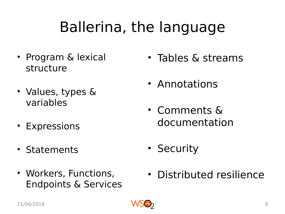### Ballerina, the language

- Program & lexical structure
- Values, types & variables
- Expressions
- Statements
- Workers, Functions, Endpoints & Services
- Tables & streams
- Annotations
- Comments & documentation
- Security
- Distributed resilience

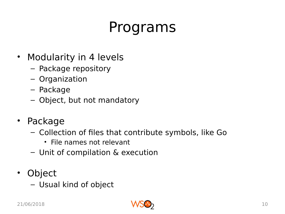#### Programs

- Modularity in 4 levels
	- Package repository
	- Organization
	- Package
	- Object, but not mandatory
- Package
	- Collection of files that contribute symbols, like Go
		- File names not relevant
	- Unit of compilation & execution
- Object
	- Usual kind of object

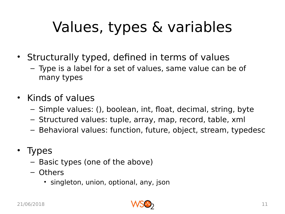# Values, types & variables

- Structurally typed, defined in terms of values
	- Type is a label for a set of values, same value can be of many types
- Kinds of values
	- Simple values: (), boolean, int, float, decimal, string, byte
	- Structured values: tuple, array, map, record, table, xml
	- Behavioral values: function, future, object, stream, typedesc
- Types
	- Basic types (one of the above)
	- Others
		- singleton, union, optional, any, json

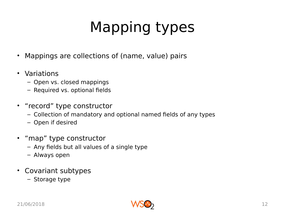# Mapping types

- Mappings are collections of (name, value) pairs
- Variations
	- Open vs. closed mappings
	- Required vs. optional fields
- "record" type constructor
	- Collection of mandatory and optional named fields of any types
	- Open if desired
- "map" type constructor
	- Any fields but all values of a single type
	- Always open
- Covariant subtypes
	- Storage type

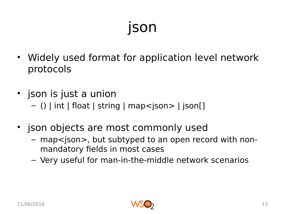## json

- Widely used format for application level network protocols
- json is just a union – () | int | float | string | map<json> | json[]
- json objects are most commonly used
	- map<json>, but subtyped to an open record with nonmandatory fields in most cases
	- Very useful for man-in-the-middle network scenarios

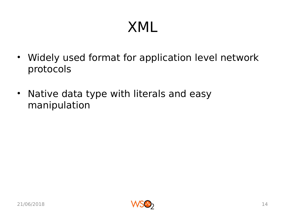#### XML

- Widely used format for application level network protocols
- Native data type with literals and easy manipulation

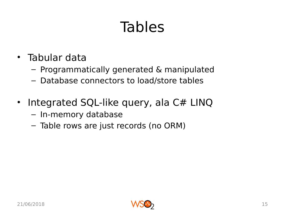## Tables

- Tabular data
	- Programmatically generated & manipulated
	- Database connectors to load/store tables
- Integrated SQL-like query, ala C# LINQ
	- In-memory database
	- Table rows are just records (no ORM)

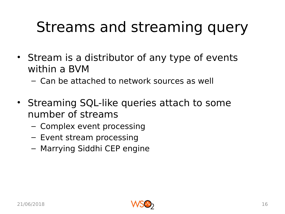## Streams and streaming query

- Stream is a distributor of any type of events within a BVM
	- Can be attached to network sources as well
- Streaming SQL-like queries attach to some number of streams
	- Complex event processing
	- Event stream processing
	- Marrying Siddhi CEP engine

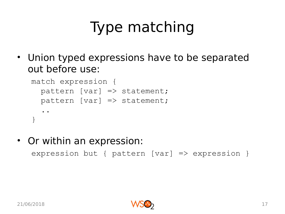# Type matching

• Union typed expressions have to be separated out before use:

```
match expression {
  pattern [var] \Rightarrow statement;pattern [var] \Rightarrow statement; ..
}
```
• Or within an expression: expression but { pattern [var] => expression }

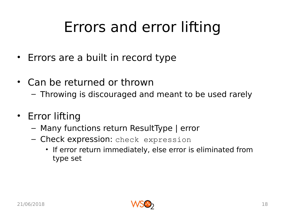## Errors and error lifting

- Errors are a built in record type
- Can be returned or thrown
	- Throwing is discouraged and meant to be used rarely
- Error lifting
	- Many functions return ResultType | error
	- Check expression: check expression
		- If error return immediately, else error is eliminated from type set

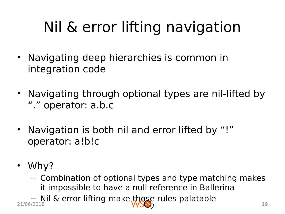# Nil & error lifting navigation

- Navigating deep hierarchies is common in integration code
- Navigating through optional types are nil-lifted by "." operator: a.b.c
- Navigation is both nil and error lifted by "!" operator: a!b!c
- Why?
	- Combination of optional types and type matching makes it impossible to have a null reference in Ballerina
- Nil & error lifting make those rules palatable 21/06/2018 19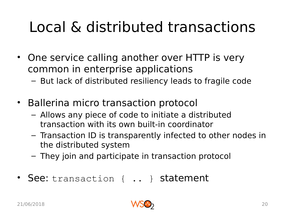## Local & distributed transactions

- One service calling another over HTTP is very common in enterprise applications
	- But lack of distributed resiliency leads to fragile code
- Ballerina micro transaction protocol
	- Allows any piece of code to initiate a distributed transaction with its own built-in coordinator
	- Transaction ID is transparently infected to other nodes in the distributed system
	- They join and participate in transaction protocol
- See: transaction { .. } statement

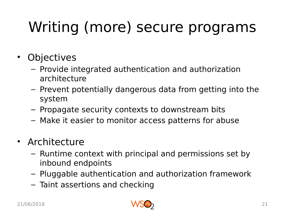# Writing (more) secure programs

- Objectives
	- Provide integrated authentication and authorization architecture
	- Prevent potentially dangerous data from getting into the system
	- Propagate security contexts to downstream bits
	- Make it easier to monitor access patterns for abuse
- Architecture
	- Runtime context with principal and permissions set by inbound endpoints
	- Pluggable authentication and authorization framework
	- Taint assertions and checking

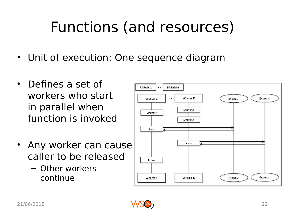## Functions (and resources)

- Unit of execution: One sequence diagram
- Defines a set of workers who start in parallel when function is invoked
- Any worker can cause caller to be released
	- Other workers continue



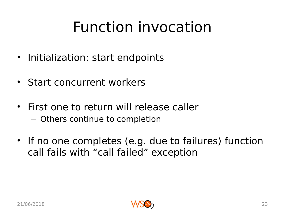#### Function invocation

- Initialization: start endpoints
- Start concurrent workers
- First one to return will release caller
	- Others continue to completion
- If no one completes (e.g. due to failures) function call fails with "call failed" exception

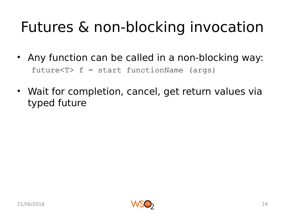## Futures & non-blocking invocation

- Any function can be called in a non-blocking way: future<T> f = start functionName (args)
- Wait for completion, cancel, get return values via typed future

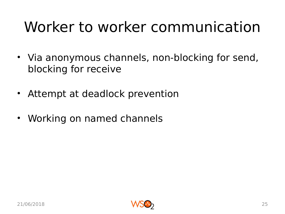## Worker to worker communication

- Via anonymous channels, non-blocking for send, blocking for receive
- Attempt at deadlock prevention
- Working on named channels

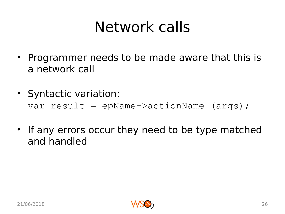#### Network calls

- Programmer needs to be made aware that this is a network call
- Syntactic variation: var result = epName->actionName (args);
- If any errors occur they need to be type matched and handled

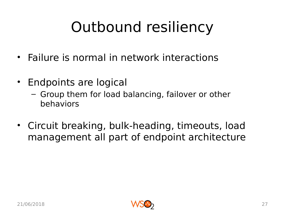# Outbound resiliency

- Failure is normal in network interactions
- Endpoints are logical
	- Group them for load balancing, failover or other behaviors
- Circuit breaking, bulk-heading, timeouts, load management all part of endpoint architecture

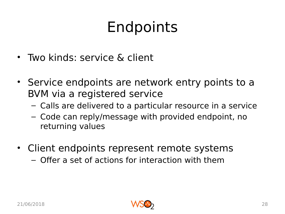## Endpoints

- Two kinds: service & client
- Service endpoints are network entry points to a BVM via a registered service
	- Calls are delivered to a particular resource in a service
	- Code can reply/message with provided endpoint, no returning values
- Client endpoints represent remote systems
	- Offer a set of actions for interaction with them

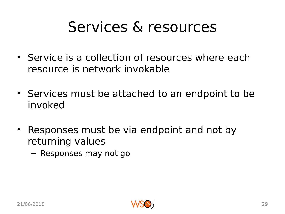#### Services & resources

- Service is a collection of resources where each resource is network invokable
- Services must be attached to an endpoint to be invoked
- Responses must be via endpoint and not by returning values
	- Responses may not go

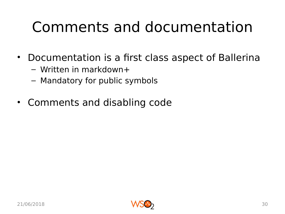#### Comments and documentation

- Documentation is a first class aspect of Ballerina
	- Written in markdown+
	- Mandatory for public symbols
- Comments and disabling code

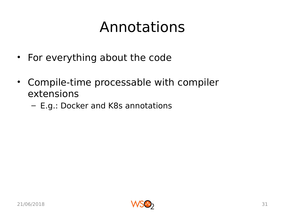#### Annotations

- For everything about the code
- Compile-time processable with compiler extensions
	- E.g.: Docker and K8s annotations

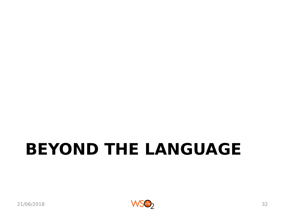# **BEYOND THE LANGUAGE**

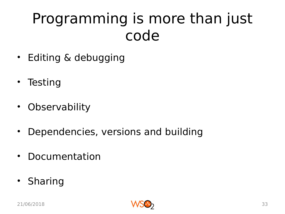#### Programming is more than just code

- Editing & debugging
- Testing
- Observability
- Dependencies, versions and building
- Documentation
- Sharing

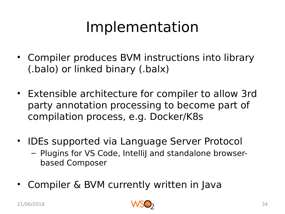#### Implementation

- Compiler produces BVM instructions into library (.balo) or linked binary (.balx)
- Extensible architecture for compiler to allow 3rd party annotation processing to become part of compilation process, e.g. Docker/K8s
- IDEs supported via Language Server Protocol – Plugins for VS Code, IntelliJ and standalone browserbased Composer
- Compiler & BVM currently written in Java

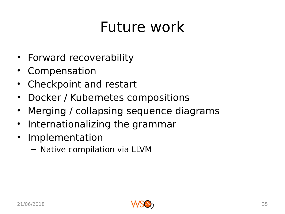#### Future work

- Forward recoverability
- Compensation
- Checkpoint and restart
- Docker / Kubernetes compositions
- Merging / collapsing sequence diagrams
- Internationalizing the grammar
- Implementation
	- Native compilation via LLVM

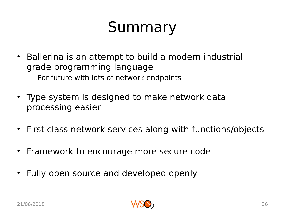## Summary

- Ballerina is an attempt to build a modern industrial grade programming language – For future with lots of network endpoints
- Type system is designed to make network data processing easier
- First class network services along with functions/objects
- Framework to encourage more secure code
- Fully open source and developed openly